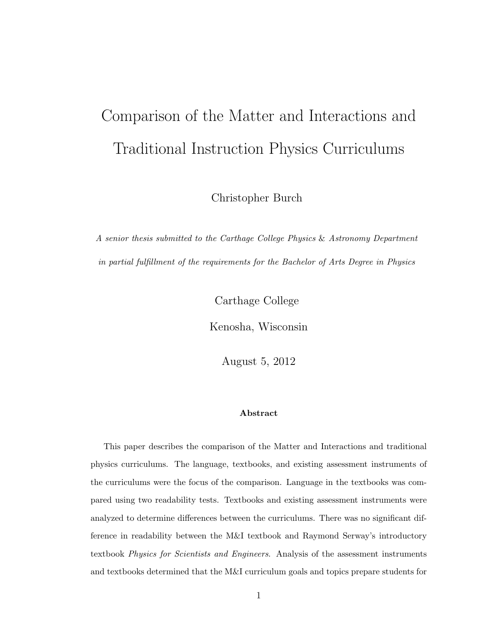# Comparison of the Matter and Interactions and Traditional Instruction Physics Curriculums

Christopher Burch

A senior thesis submitted to the Carthage College Physics & Astronomy Department in partial fulfillment of the requirements for the Bachelor of Arts Degree in Physics

Carthage College

Kenosha, Wisconsin

August 5, 2012

#### Abstract

This paper describes the comparison of the Matter and Interactions and traditional physics curriculums. The language, textbooks, and existing assessment instruments of the curriculums were the focus of the comparison. Language in the textbooks was compared using two readability tests. Textbooks and existing assessment instruments were analyzed to determine differences between the curriculums. There was no significant difference in readability between the M&I textbook and Raymond Serway's introductory textbook Physics for Scientists and Engineers. Analysis of the assessment instruments and textbooks determined that the M&I curriculum goals and topics prepare students for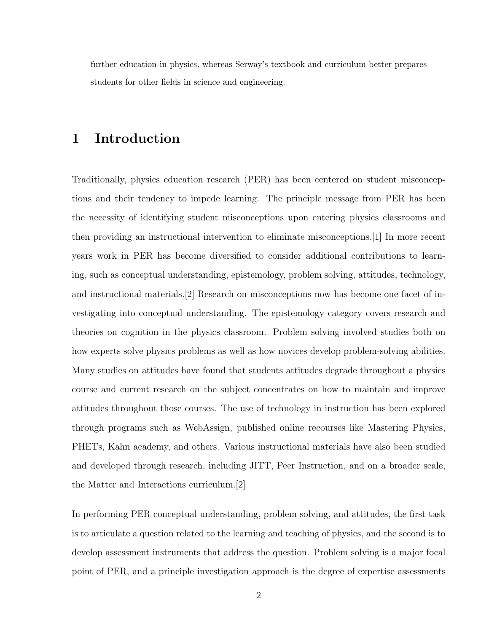further education in physics, whereas Serway's textbook and curriculum better prepares students for other fields in science and engineering.

#### 1 Introduction

Traditionally, physics education research (PER) has been centered on student misconceptions and their tendency to impede learning. The principle message from PER has been the necessity of identifying student misconceptions upon entering physics classrooms and then providing an instructional intervention to eliminate misconceptions.[1] In more recent years work in PER has become diversified to consider additional contributions to learning, such as conceptual understanding, epistemology, problem solving, attitudes, technology, and instructional materials.[2] Research on misconceptions now has become one facet of investigating into conceptual understanding. The epistemology category covers research and theories on cognition in the physics classroom. Problem solving involved studies both on how experts solve physics problems as well as how novices develop problem-solving abilities. Many studies on attitudes have found that students attitudes degrade throughout a physics course and current research on the subject concentrates on how to maintain and improve attitudes throughout those courses. The use of technology in instruction has been explored through programs such as WebAssign, published online recourses like Mastering Physics, PHETs, Kahn academy, and others. Various instructional materials have also been studied and developed through research, including JITT, Peer Instruction, and on a broader scale, the Matter and Interactions curriculum.[2]

In performing PER conceptual understanding, problem solving, and attitudes, the first task is to articulate a question related to the learning and teaching of physics, and the second is to develop assessment instruments that address the question. Problem solving is a major focal point of PER, and a principle investigation approach is the degree of expertise assessments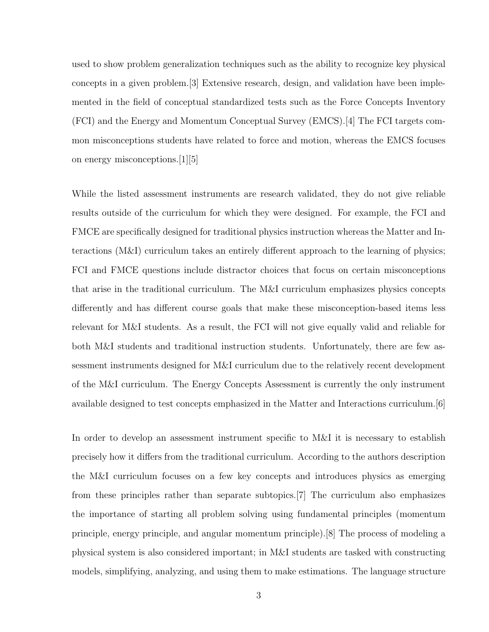used to show problem generalization techniques such as the ability to recognize key physical concepts in a given problem.[3] Extensive research, design, and validation have been implemented in the field of conceptual standardized tests such as the Force Concepts Inventory (FCI) and the Energy and Momentum Conceptual Survey (EMCS).[4] The FCI targets common misconceptions students have related to force and motion, whereas the EMCS focuses on energy misconceptions.[1][5]

While the listed assessment instruments are research validated, they do not give reliable results outside of the curriculum for which they were designed. For example, the FCI and FMCE are specifically designed for traditional physics instruction whereas the Matter and Interactions (M&I) curriculum takes an entirely different approach to the learning of physics; FCI and FMCE questions include distractor choices that focus on certain misconceptions that arise in the traditional curriculum. The M&I curriculum emphasizes physics concepts differently and has different course goals that make these misconception-based items less relevant for M&I students. As a result, the FCI will not give equally valid and reliable for both M&I students and traditional instruction students. Unfortunately, there are few assessment instruments designed for M&I curriculum due to the relatively recent development of the M&I curriculum. The Energy Concepts Assessment is currently the only instrument available designed to test concepts emphasized in the Matter and Interactions curriculum.[6]

In order to develop an assessment instrument specific to M&I it is necessary to establish precisely how it differs from the traditional curriculum. According to the authors description the M&I curriculum focuses on a few key concepts and introduces physics as emerging from these principles rather than separate subtopics.[7] The curriculum also emphasizes the importance of starting all problem solving using fundamental principles (momentum principle, energy principle, and angular momentum principle).[8] The process of modeling a physical system is also considered important; in M&I students are tasked with constructing models, simplifying, analyzing, and using them to make estimations. The language structure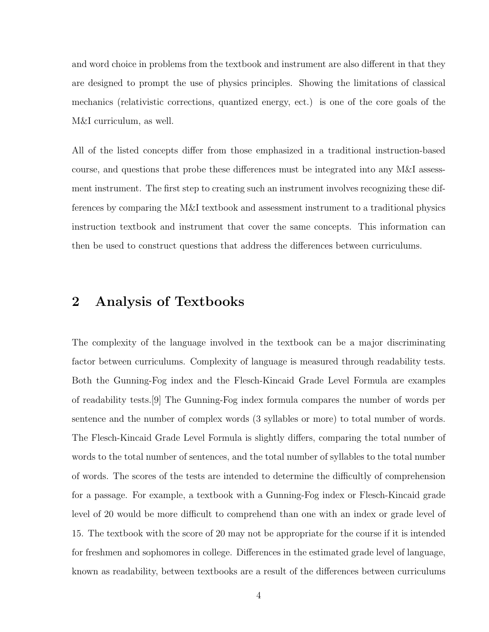and word choice in problems from the textbook and instrument are also different in that they are designed to prompt the use of physics principles. Showing the limitations of classical mechanics (relativistic corrections, quantized energy, ect.) is one of the core goals of the M&I curriculum, as well.

All of the listed concepts differ from those emphasized in a traditional instruction-based course, and questions that probe these differences must be integrated into any M&I assessment instrument. The first step to creating such an instrument involves recognizing these differences by comparing the M&I textbook and assessment instrument to a traditional physics instruction textbook and instrument that cover the same concepts. This information can then be used to construct questions that address the differences between curriculums.

## 2 Analysis of Textbooks

The complexity of the language involved in the textbook can be a major discriminating factor between curriculums. Complexity of language is measured through readability tests. Both the Gunning-Fog index and the Flesch-Kincaid Grade Level Formula are examples of readability tests.[9] The Gunning-Fog index formula compares the number of words per sentence and the number of complex words (3 syllables or more) to total number of words. The Flesch-Kincaid Grade Level Formula is slightly differs, comparing the total number of words to the total number of sentences, and the total number of syllables to the total number of words. The scores of the tests are intended to determine the difficultly of comprehension for a passage. For example, a textbook with a Gunning-Fog index or Flesch-Kincaid grade level of 20 would be more difficult to comprehend than one with an index or grade level of 15. The textbook with the score of 20 may not be appropriate for the course if it is intended for freshmen and sophomores in college. Differences in the estimated grade level of language, known as readability, between textbooks are a result of the differences between curriculums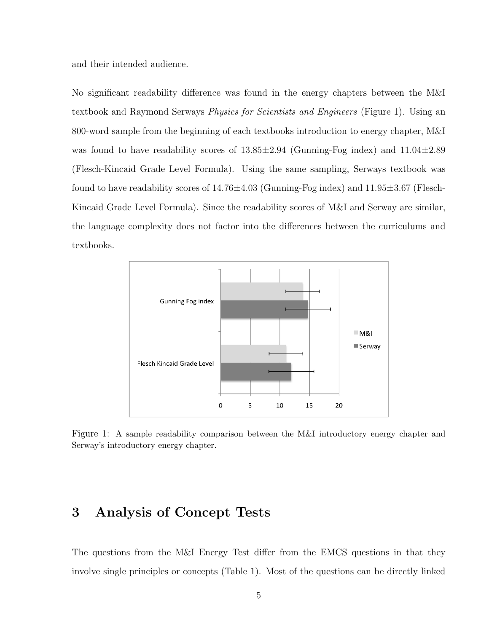and their intended audience.

No significant readability difference was found in the energy chapters between the M&I textbook and Raymond Serways Physics for Scientists and Engineers (Figure 1). Using an 800-word sample from the beginning of each textbooks introduction to energy chapter, M&I was found to have readability scores of  $13.85\pm2.94$  (Gunning-Fog index) and  $11.04\pm2.89$ (Flesch-Kincaid Grade Level Formula). Using the same sampling, Serways textbook was found to have readability scores of  $14.76\pm4.03$  (Gunning-Fog index) and  $11.95\pm3.67$  (Flesch-Kincaid Grade Level Formula). Since the readability scores of M&I and Serway are similar, the language complexity does not factor into the differences between the curriculums and textbooks.



Figure 1: A sample readability comparison between the M&I introductory energy chapter and Serway's introductory energy chapter.

#### 3 Analysis of Concept Tests

The questions from the M&I Energy Test differ from the EMCS questions in that they involve single principles or concepts (Table 1). Most of the questions can be directly linked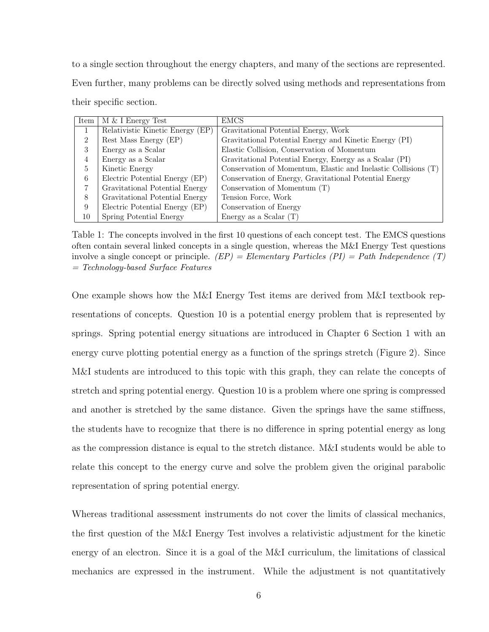to a single section throughout the energy chapters, and many of the sections are represented. Even further, many problems can be directly solved using methods and representations from their specific section.

| Item | $M \& I$ Energy Test             | <b>EMCS</b>                                                    |
|------|----------------------------------|----------------------------------------------------------------|
| 1    | Relativistic Kinetic Energy (EP) | Gravitational Potential Energy, Work                           |
| 2    | Rest Mass Energy (EP)            | Gravitational Potential Energy and Kinetic Energy (PI)         |
| 3    | Energy as a Scalar               | Elastic Collision, Conservation of Momentum                    |
| 4    | Energy as a Scalar               | Gravitational Potential Energy, Energy as a Scalar (PI)        |
| 5    | Kinetic Energy                   | Conservation of Momentum, Elastic and Inelastic Collisions (T) |
| 6    | Electric Potential Energy (EP)   | Conservation of Energy, Gravitational Potential Energy         |
| 7    | Gravitational Potential Energy   | Conservation of Momentum $(T)$                                 |
| 8    | Gravitational Potential Energy   | Tension Force, Work                                            |
| 9    | Electric Potential Energy (EP)   | Conservation of Energy                                         |
| 10   | Spring Potential Energy          | Energy as a Scalar $(T)$                                       |

Table 1: The concepts involved in the first 10 questions of each concept test. The EMCS questions often contain several linked concepts in a single question, whereas the M&I Energy Test questions involve a single concept or principle.  $(EP) = Elementary$  Particles  $(PI) = Path$  Independence  $(T)$ = Technology-based Surface Features

One example shows how the M&I Energy Test items are derived from M&I textbook representations of concepts. Question 10 is a potential energy problem that is represented by springs. Spring potential energy situations are introduced in Chapter 6 Section 1 with an energy curve plotting potential energy as a function of the springs stretch (Figure 2). Since M&I students are introduced to this topic with this graph, they can relate the concepts of stretch and spring potential energy. Question 10 is a problem where one spring is compressed and another is stretched by the same distance. Given the springs have the same stiffness, the students have to recognize that there is no difference in spring potential energy as long as the compression distance is equal to the stretch distance. M&I students would be able to relate this concept to the energy curve and solve the problem given the original parabolic representation of spring potential energy.

Whereas traditional assessment instruments do not cover the limits of classical mechanics, the first question of the M&I Energy Test involves a relativistic adjustment for the kinetic energy of an electron. Since it is a goal of the M&I curriculum, the limitations of classical mechanics are expressed in the instrument. While the adjustment is not quantitatively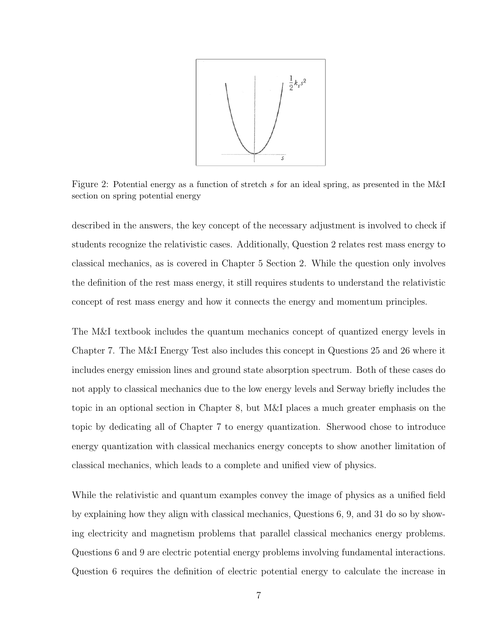

Figure 2: Potential energy as a function of stretch s for an ideal spring, as presented in the M&I section on spring potential energy

described in the answers, the key concept of the necessary adjustment is involved to check if students recognize the relativistic cases. Additionally, Question 2 relates rest mass energy to classical mechanics, as is covered in Chapter 5 Section 2. While the question only involves the definition of the rest mass energy, it still requires students to understand the relativistic concept of rest mass energy and how it connects the energy and momentum principles.

The M&I textbook includes the quantum mechanics concept of quantized energy levels in Chapter 7. The M&I Energy Test also includes this concept in Questions 25 and 26 where it includes energy emission lines and ground state absorption spectrum. Both of these cases do not apply to classical mechanics due to the low energy levels and Serway briefly includes the topic in an optional section in Chapter 8, but M&I places a much greater emphasis on the topic by dedicating all of Chapter 7 to energy quantization. Sherwood chose to introduce energy quantization with classical mechanics energy concepts to show another limitation of classical mechanics, which leads to a complete and unified view of physics.

While the relativistic and quantum examples convey the image of physics as a unified field by explaining how they align with classical mechanics, Questions 6, 9, and 31 do so by showing electricity and magnetism problems that parallel classical mechanics energy problems. Questions 6 and 9 are electric potential energy problems involving fundamental interactions. Question 6 requires the definition of electric potential energy to calculate the increase in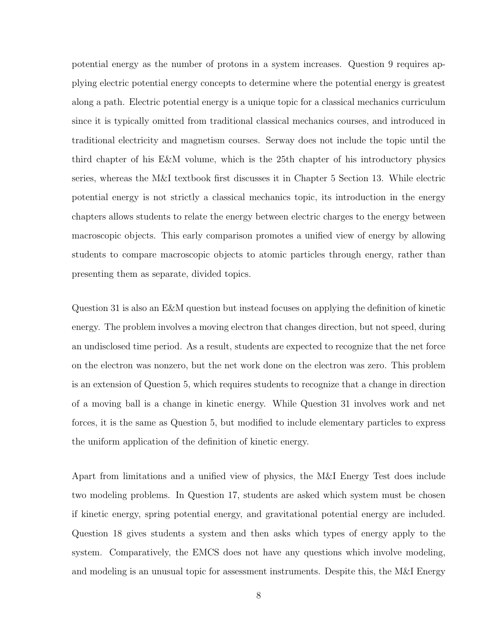potential energy as the number of protons in a system increases. Question 9 requires applying electric potential energy concepts to determine where the potential energy is greatest along a path. Electric potential energy is a unique topic for a classical mechanics curriculum since it is typically omitted from traditional classical mechanics courses, and introduced in traditional electricity and magnetism courses. Serway does not include the topic until the third chapter of his E&M volume, which is the 25th chapter of his introductory physics series, whereas the M&I textbook first discusses it in Chapter 5 Section 13. While electric potential energy is not strictly a classical mechanics topic, its introduction in the energy chapters allows students to relate the energy between electric charges to the energy between macroscopic objects. This early comparison promotes a unified view of energy by allowing students to compare macroscopic objects to atomic particles through energy, rather than presenting them as separate, divided topics.

Question 31 is also an E&M question but instead focuses on applying the definition of kinetic energy. The problem involves a moving electron that changes direction, but not speed, during an undisclosed time period. As a result, students are expected to recognize that the net force on the electron was nonzero, but the net work done on the electron was zero. This problem is an extension of Question 5, which requires students to recognize that a change in direction of a moving ball is a change in kinetic energy. While Question 31 involves work and net forces, it is the same as Question 5, but modified to include elementary particles to express the uniform application of the definition of kinetic energy.

Apart from limitations and a unified view of physics, the M&I Energy Test does include two modeling problems. In Question 17, students are asked which system must be chosen if kinetic energy, spring potential energy, and gravitational potential energy are included. Question 18 gives students a system and then asks which types of energy apply to the system. Comparatively, the EMCS does not have any questions which involve modeling, and modeling is an unusual topic for assessment instruments. Despite this, the M&I Energy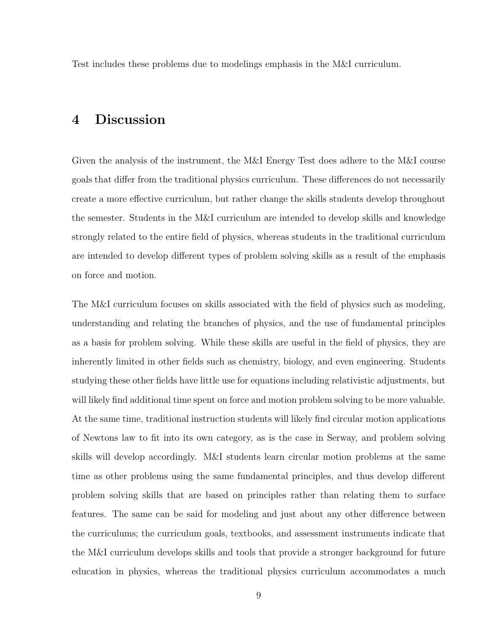Test includes these problems due to modelings emphasis in the M&I curriculum.

## 4 Discussion

Given the analysis of the instrument, the M&I Energy Test does adhere to the M&I course goals that differ from the traditional physics curriculum. These differences do not necessarily create a more effective curriculum, but rather change the skills students develop throughout the semester. Students in the M&I curriculum are intended to develop skills and knowledge strongly related to the entire field of physics, whereas students in the traditional curriculum are intended to develop different types of problem solving skills as a result of the emphasis on force and motion.

The M&I curriculum focuses on skills associated with the field of physics such as modeling, understanding and relating the branches of physics, and the use of fundamental principles as a basis for problem solving. While these skills are useful in the field of physics, they are inherently limited in other fields such as chemistry, biology, and even engineering. Students studying these other fields have little use for equations including relativistic adjustments, but will likely find additional time spent on force and motion problem solving to be more valuable. At the same time, traditional instruction students will likely find circular motion applications of Newtons law to fit into its own category, as is the case in Serway, and problem solving skills will develop accordingly. M&I students learn circular motion problems at the same time as other problems using the same fundamental principles, and thus develop different problem solving skills that are based on principles rather than relating them to surface features. The same can be said for modeling and just about any other difference between the curriculums; the curriculum goals, textbooks, and assessment instruments indicate that the M&I curriculum develops skills and tools that provide a stronger background for future education in physics, whereas the traditional physics curriculum accommodates a much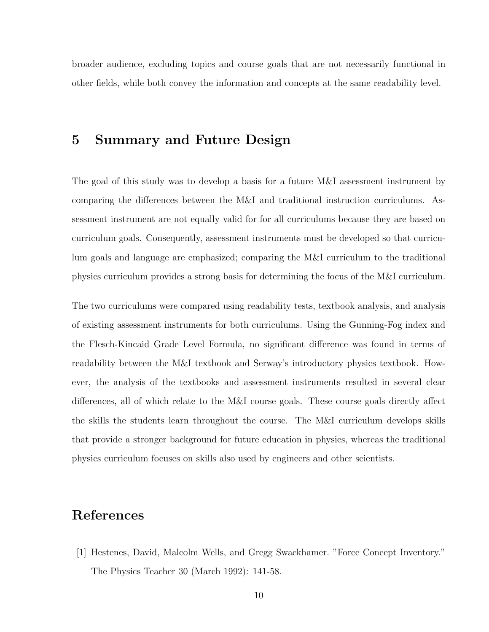broader audience, excluding topics and course goals that are not necessarily functional in other fields, while both convey the information and concepts at the same readability level.

#### 5 Summary and Future Design

The goal of this study was to develop a basis for a future M&I assessment instrument by comparing the differences between the M&I and traditional instruction curriculums. Assessment instrument are not equally valid for for all curriculums because they are based on curriculum goals. Consequently, assessment instruments must be developed so that curriculum goals and language are emphasized; comparing the M&I curriculum to the traditional physics curriculum provides a strong basis for determining the focus of the M&I curriculum.

The two curriculums were compared using readability tests, textbook analysis, and analysis of existing assessment instruments for both curriculums. Using the Gunning-Fog index and the Flesch-Kincaid Grade Level Formula, no significant difference was found in terms of readability between the M&I textbook and Serway's introductory physics textbook. However, the analysis of the textbooks and assessment instruments resulted in several clear differences, all of which relate to the M&I course goals. These course goals directly affect the skills the students learn throughout the course. The M&I curriculum develops skills that provide a stronger background for future education in physics, whereas the traditional physics curriculum focuses on skills also used by engineers and other scientists.

#### References

[1] Hestenes, David, Malcolm Wells, and Gregg Swackhamer. "Force Concept Inventory." The Physics Teacher 30 (March 1992): 141-58.